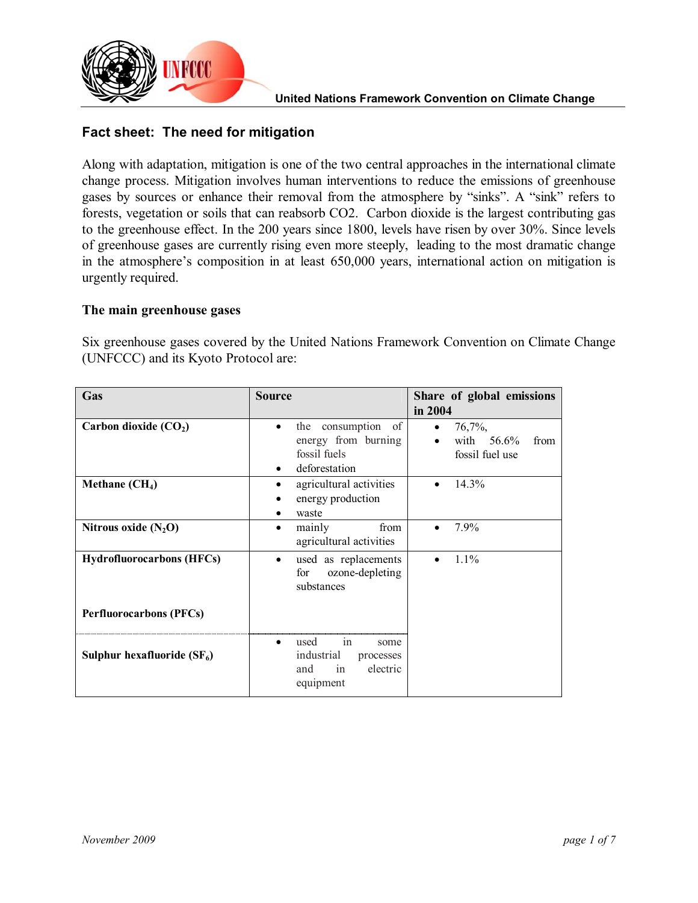

# **Fact sheet: The need for mitigation**

Along with adaptation, mitigation is one of the two central approaches in the international climate change process. Mitigation involves human interventions to reduce the emissions of greenhouse gases by sources or enhance their removal from the atmosphere by "sinks". A "sink" refers to forests, vegetation or soils that can reabsorb CO2. Carbon dioxide is the largest contributing gas to the greenhouse effect. In the 200 years since 1800, levels have risen by over 30%. Since levels of greenhouse gases are currently rising even more steeply, leading to the most dramatic change in the atmosphere's composition in at least 650,000 years, international action on mitigation is urgently required.

## **The main greenhouse gases**

Six greenhouse gases covered by the United Nations Framework Convention on Climate Change (UNFCCC) and its Kyoto Protocol are:

| Gas                              | <b>Source</b>                                                                       | Share of global emissions<br>in 2004               |
|----------------------------------|-------------------------------------------------------------------------------------|----------------------------------------------------|
| Carbon dioxide $(CO2)$           | the consumption<br>of<br>energy from burning<br>fossil fuels<br>deforestation<br>٠  | 76,7%,<br>with $56.6\%$<br>from<br>fossil fuel use |
| Methane $(CH_4)$                 | agricultural activities<br>energy production<br>waste                               | 14.3%                                              |
| Nitrous oxide $(N_2O)$           | mainly<br>from<br>agricultural activities                                           | 7.9%                                               |
| <b>Hydrofluorocarbons (HFCs)</b> | used as replacements<br>٠<br>ozone-depleting<br>for<br>substances                   | 1.1%                                               |
| <b>Perfluorocarbons (PFCs)</b>   |                                                                                     |                                                    |
| Sulphur hexafluoride $(SF_6)$    | used<br>in<br>some<br>industrial<br>processes<br>electric<br>and<br>in<br>equipment |                                                    |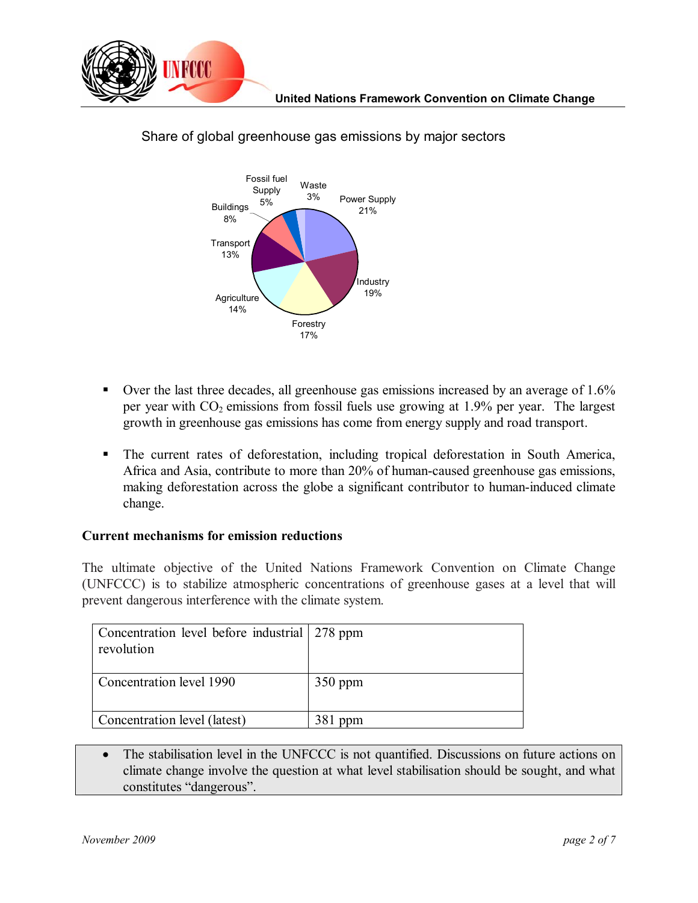



Share of global greenhouse gas emissions by major sectors

- Over the last three decades, all greenhouse gas emissions increased by an average of 1.6% per year with  $CO<sub>2</sub>$  emissions from fossil fuels use growing at 1.9% per year. The largest growth in greenhouse gas emissions has come from energy supply and road transport.
- The current rates of deforestation, including tropical deforestation in South America, Africa and Asia, contribute to more than 20% of human-caused greenhouse gas emissions, making deforestation across the globe a significant contributor to human-induced climate change.

## **Current mechanisms for emission reductions**

The ultimate objective of the United Nations Framework Convention on Climate Change (UNFCCC) is to stabilize atmospheric concentrations of greenhouse gases at a level that will prevent dangerous interference with the climate system.

| Concentration level before industrial 278 ppm<br>revolution |           |
|-------------------------------------------------------------|-----------|
| Concentration level 1990                                    | $350$ ppm |
| Concentration level (latest)                                | $381$ ppm |

# • The stabilisation level in the UNFCCC is not quantified. Discussions on future actions on climate change involve the question at what level stabilisation should be sought, and what constitutes "dangerous".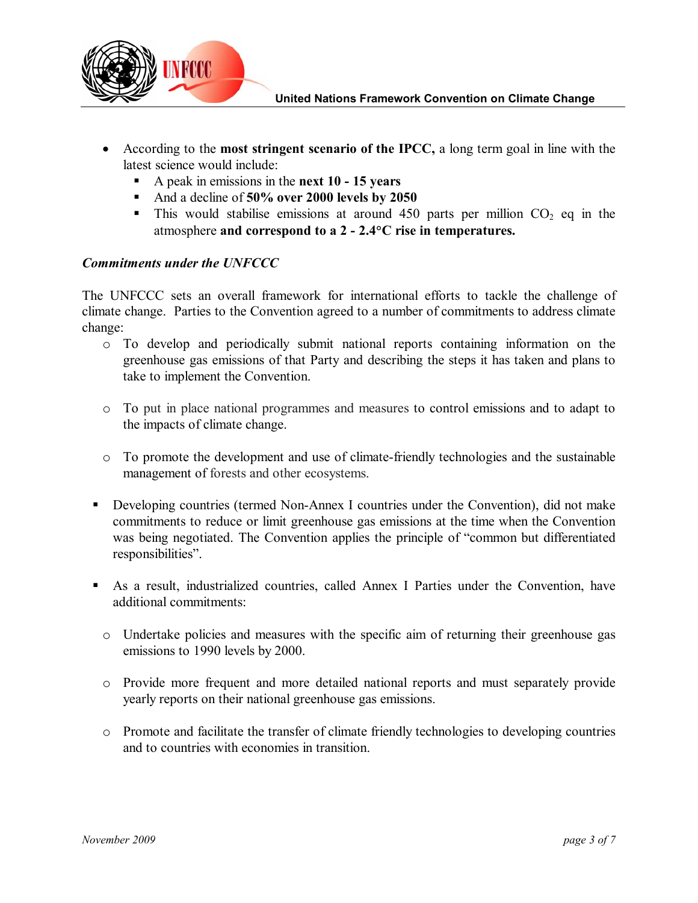

- According to the **most stringent scenario of the IPCC,** a long term goal in line with the latest science would include:
	- A peak in emissions in the **next 10 15 years**
	- And a decline of **50% over 2000 levels by 2050**
	- $\blacksquare$  This would stabilise emissions at around 450 parts per million CO<sub>2</sub> eq in the atmosphere **and correspond to a 2 - 2.4**°**C rise in temperatures.**

# *Commitments under the UNFCCC*

The UNFCCC sets an overall framework for international efforts to tackle the challenge of climate change. Parties to the Convention agreed to a number of commitments to address climate change:

- o To develop and periodically submit national reports containing information on the greenhouse gas emissions of that Party and describing the steps it has taken and plans to take to implement the Convention.
- o To put in place national programmes and measures to control emissions and to adapt to the impacts of climate change.
- o To promote the development and use of climate-friendly technologies and the sustainable management of forests and other ecosystems.
- Developing countries (termed Non-Annex I countries under the Convention), did not make commitments to reduce or limit greenhouse gas emissions at the time when the Convention was being negotiated. The Convention applies the principle of "common but differentiated responsibilities".
- As a result, industrialized countries, called Annex I Parties under the Convention, have additional commitments:
	- o Undertake policies and measures with the specific aim of returning their greenhouse gas emissions to 1990 levels by 2000.
	- o Provide more frequent and more detailed national reports and must separately provide yearly reports on their national greenhouse gas emissions.
	- o Promote and facilitate the transfer of climate friendly technologies to developing countries and to countries with economies in transition.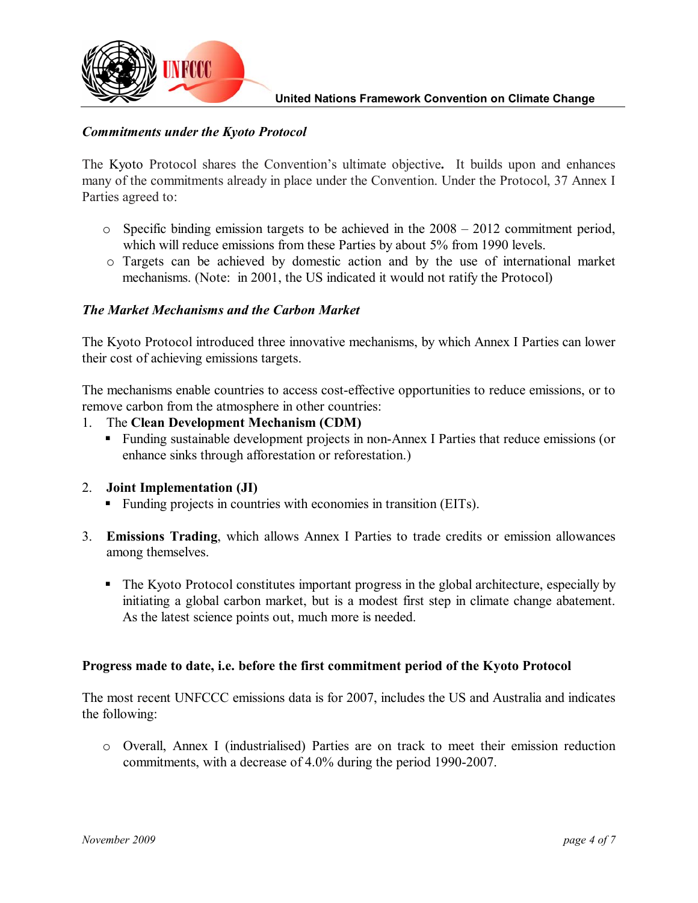

# *Commitments under the Kyoto Protocol*

The Kyoto Protocol shares the Convention's ultimate objective**.** It builds upon and enhances many of the commitments already in place under the Convention. Under the Protocol, 37 Annex I Parties agreed to:

- o Specific binding emission targets to be achieved in the 2008 2012 commitment period, which will reduce emissions from these Parties by about 5% from 1990 levels.
- o Targets can be achieved by domestic action and by the use of international market mechanisms. (Note: in 2001, the US indicated it would not ratify the Protocol)

## *The Market Mechanisms and the Carbon Market*

The Kyoto Protocol introduced three innovative mechanisms, by which Annex I Parties can lower their cost of achieving emissions targets.

The mechanisms enable countries to access cost-effective opportunities to reduce emissions, or to remove carbon from the atmosphere in other countries:

- 1. The **Clean Development Mechanism (CDM)**
	- Funding sustainable development projects in non-Annex I Parties that reduce emissions (or enhance sinks through afforestation or reforestation.)

#### 2. **Joint Implementation (JI)**

- Funding projects in countries with economies in transition (EITs).
- 3. **Emissions Trading**, which allows Annex I Parties to trade credits or emission allowances among themselves.
	- The Kyoto Protocol constitutes important progress in the global architecture, especially by initiating a global carbon market, but is a modest first step in climate change abatement. As the latest science points out, much more is needed.

#### **Progress made to date, i.e. before the first commitment period of the Kyoto Protocol**

The most recent UNFCCC emissions data is for 2007, includes the US and Australia and indicates the following:

o Overall, Annex I (industrialised) Parties are on track to meet their emission reduction commitments, with a decrease of 4.0% during the period 1990-2007.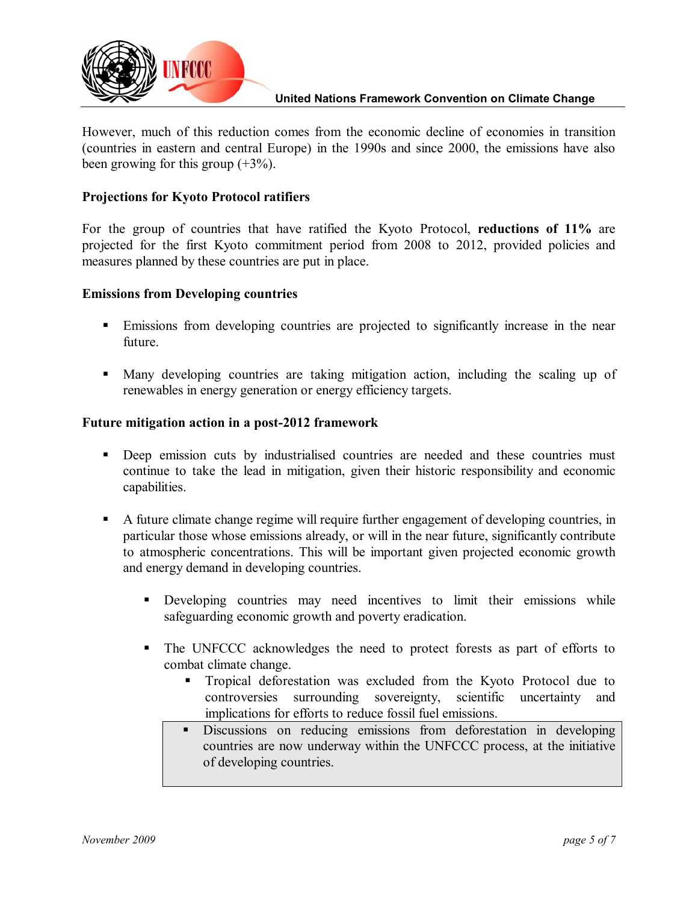

However, much of this reduction comes from the economic decline of economies in transition (countries in eastern and central Europe) in the 1990s and since 2000, the emissions have also been growing for this group  $(+3%)$ .

## **Projections for Kyoto Protocol ratifiers**

For the group of countries that have ratified the Kyoto Protocol, **reductions of 11%** are projected for the first Kyoto commitment period from 2008 to 2012, provided policies and measures planned by these countries are put in place.

## **Emissions from Developing countries**

- Emissions from developing countries are projected to significantly increase in the near future.
- Many developing countries are taking mitigation action, including the scaling up of renewables in energy generation or energy efficiency targets.

#### **Future mitigation action in a post-2012 framework**

- Deep emission cuts by industrialised countries are needed and these countries must continue to take the lead in mitigation, given their historic responsibility and economic capabilities.
- A future climate change regime will require further engagement of developing countries, in particular those whose emissions already, or will in the near future, significantly contribute to atmospheric concentrations. This will be important given projected economic growth and energy demand in developing countries.
	- Developing countries may need incentives to limit their emissions while safeguarding economic growth and poverty eradication.
	- The UNFCCC acknowledges the need to protect forests as part of efforts to combat climate change.
		- Tropical deforestation was excluded from the Kyoto Protocol due to controversies surrounding sovereignty, scientific uncertainty and implications for efforts to reduce fossil fuel emissions.
		- Discussions on reducing emissions from deforestation in developing countries are now underway within the UNFCCC process, at the initiative of developing countries.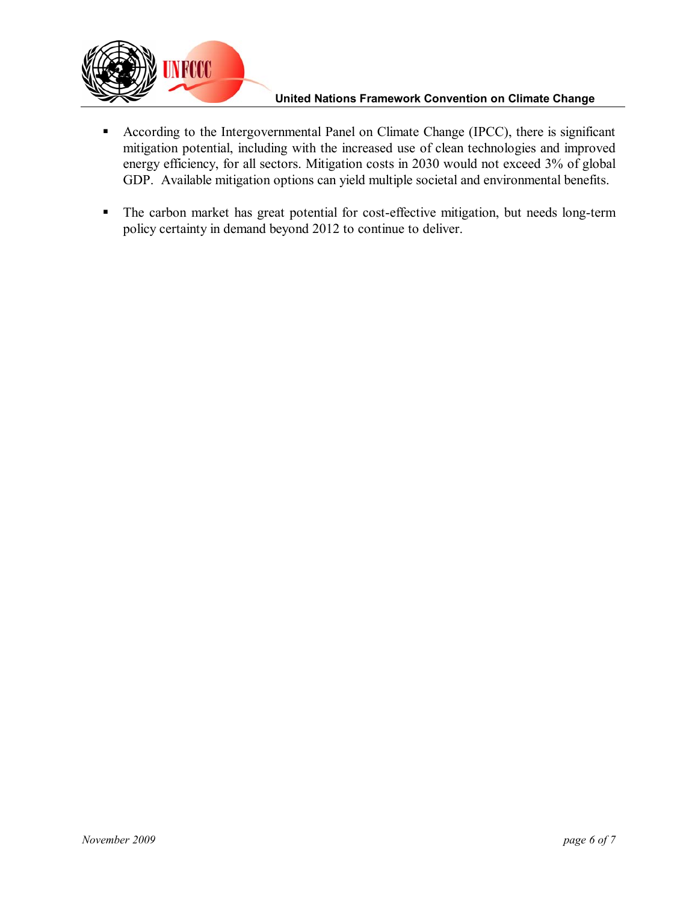

- According to the Intergovernmental Panel on Climate Change (IPCC), there is significant mitigation potential, including with the increased use of clean technologies and improved energy efficiency, for all sectors. Mitigation costs in 2030 would not exceed 3% of global GDP. Available mitigation options can yield multiple societal and environmental benefits.
- The carbon market has great potential for cost-effective mitigation, but needs long-term policy certainty in demand beyond 2012 to continue to deliver.